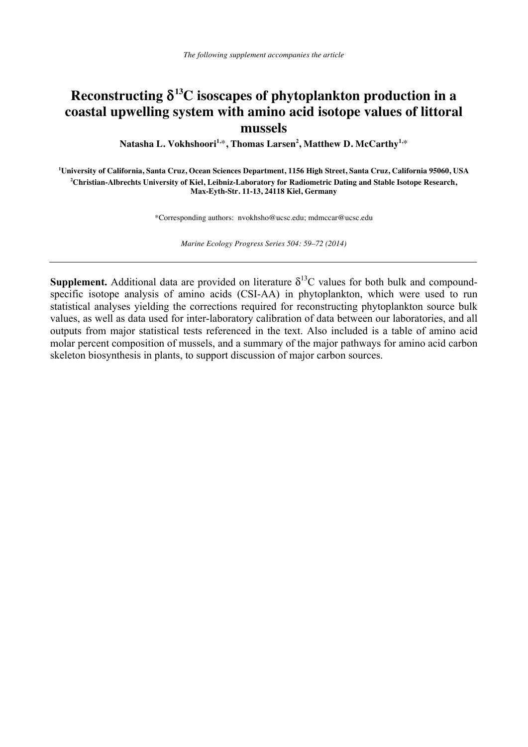## **Reconstructing**  $\delta^{13}$ **C isoscapes of phytoplankton production in a coastal upwelling system with amino acid isotope values of littoral mussels**

**Natasha L. Vokhshoori1,**\***, Thomas Larsen<sup>2</sup> , Matthew D. McCarthy1,**\*

**1 University of California, Santa Cruz, Ocean Sciences Department, 1156 High Street, Santa Cruz, California 95060, USA 2 Christian-Albrechts University of Kiel, Leibniz-Laboratory for Radiometric Dating and Stable Isotope Research, Max-Eyth-Str. 11-13, 24118 Kiel, Germany** 

\*Corresponding authors: nvokhsho@ucsc.edu; mdmccar@ucsc.edu

*Marine Ecology Progress Series 504: 59–72 (2014)*

**Supplement.** Additional data are provided on literature  $\delta^{13}$ C values for both bulk and compoundspecific isotope analysis of amino acids (CSI-AA) in phytoplankton, which were used to run statistical analyses yielding the corrections required for reconstructing phytoplankton source bulk values, as well as data used for inter-laboratory calibration of data between our laboratories, and all outputs from major statistical tests referenced in the text. Also included is a table of amino acid molar percent composition of mussels, and a summary of the major pathways for amino acid carbon skeleton biosynthesis in plants, to support discussion of major carbon sources.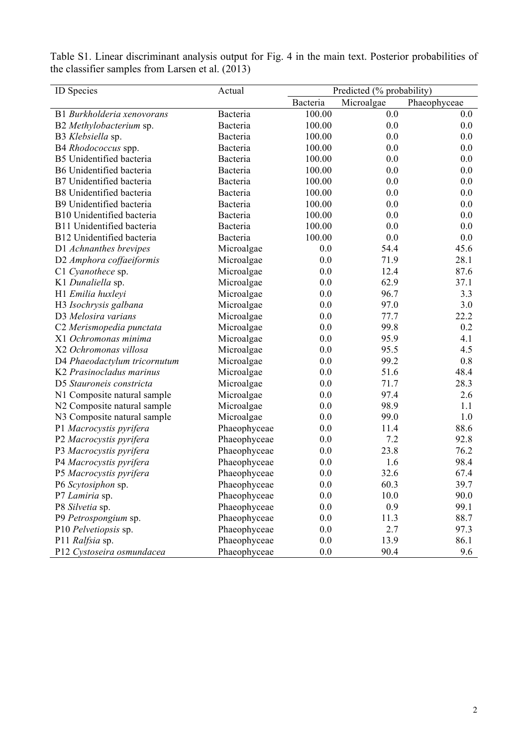| ID Species                   | Actual       | Predicted (% probability) |      |              |
|------------------------------|--------------|---------------------------|------|--------------|
|                              |              | Bacteria<br>Microalgae    |      | Phaeophyceae |
| B1 Burkholderia xenovorans   | Bacteria     | 100.00                    | 0.0  | 0.0          |
| B2 Methylobacterium sp.      | Bacteria     | 100.00                    | 0.0  | 0.0          |
| B3 Klebsiella sp.            | Bacteria     | 100.00                    | 0.0  | 0.0          |
| B4 Rhodococcus spp.          | Bacteria     | 100.00                    | 0.0  | 0.0          |
| B5 Unidentified bacteria     | Bacteria     | 100.00                    | 0.0  | 0.0          |
| B6 Unidentified bacteria     | Bacteria     | 100.00                    | 0.0  | 0.0          |
| B7 Unidentified bacteria     | Bacteria     | 100.00                    | 0.0  | 0.0          |
| B8 Unidentified bacteria     | Bacteria     | 100.00                    | 0.0  | 0.0          |
| B9 Unidentified bacteria     | Bacteria     | 100.00                    | 0.0  | 0.0          |
| B10 Unidentified bacteria    | Bacteria     | 100.00                    | 0.0  | 0.0          |
| B11 Unidentified bacteria    | Bacteria     | 100.00                    | 0.0  | 0.0          |
| B12 Unidentified bacteria    | Bacteria     | 100.00                    | 0.0  | 0.0          |
| D1 Achnanthes brevipes       | Microalgae   | 0.0                       | 54.4 | 45.6         |
| D2 Amphora coffaeiformis     | Microalgae   | 0.0                       | 71.9 | 28.1         |
| C1 Cyanothece sp.            | Microalgae   | 0.0                       | 12.4 | 87.6         |
| K1 Dunaliella sp.            | Microalgae   | 0.0                       | 62.9 | 37.1         |
| H1 Emilia huxleyi            | Microalgae   | 0.0                       | 96.7 | 3.3          |
| H3 Isochrysis galbana        | Microalgae   | 0.0                       | 97.0 | 3.0          |
| D3 Melosira varians          | Microalgae   | 0.0                       | 77.7 | 22.2         |
| C2 Merismopedia punctata     | Microalgae   | 0.0                       | 99.8 | 0.2          |
| X1 Ochromonas minima         | Microalgae   | 0.0                       | 95.9 | 4.1          |
| X2 Ochromonas villosa        | Microalgae   | 0.0                       | 95.5 | 4.5          |
| D4 Phaeodactylum tricornutum | Microalgae   | 0.0                       | 99.2 | 0.8          |
| K2 Prasinocladus marinus     | Microalgae   | 0.0                       | 51.6 | 48.4         |
| D5 Stauroneis constricta     | Microalgae   | 0.0                       | 71.7 | 28.3         |
| N1 Composite natural sample  | Microalgae   | 0.0                       | 97.4 | 2.6          |
| N2 Composite natural sample  | Microalgae   | 0.0                       | 98.9 | 1.1          |
| N3 Composite natural sample  | Microalgae   | 0.0                       | 99.0 | 1.0          |
| P1 Macrocystis pyrifera      | Phaeophyceae | 0.0                       | 11.4 | 88.6         |
| P2 Macrocystis pyrifera      | Phaeophyceae | 0.0                       | 7.2  | 92.8         |
| P3 Macrocystis pyrifera      | Phaeophyceae | 0.0                       | 23.8 | 76.2         |
| P4 Macrocystis pyrifera      | Phaeophyceae | 0.0                       | 1.6  | 98.4         |
| P5 Macrocystis pyrifera      | Phaeophyceae | 0.0                       | 32.6 | 67.4         |
| P6 Scytosiphon sp.           | Phaeophyceae | 0.0                       | 60.3 | 39.7         |
| P7 Lamiria sp.               | Phaeophyceae | 0.0                       | 10.0 | 90.0         |
| P8 Silvetia sp.              | Phaeophyceae | 0.0                       | 0.9  | 99.1         |
| P9 Petrospongium sp.         | Phaeophyceae | 0.0                       | 11.3 | 88.7         |
| P10 Pelvetiopsis sp.         | Phaeophyceae | 0.0                       | 2.7  | 97.3         |
| P11 Ralfsia sp.              | Phaeophyceae | 0.0                       | 13.9 | 86.1         |
| P12 Cystoseira osmundacea    | Phaeophyceae | 0.0                       | 90.4 | 9.6          |

Table S1. Linear discriminant analysis output for Fig. 4 in the main text. Posterior probabilities of the classifier samples from Larsen et al. (2013)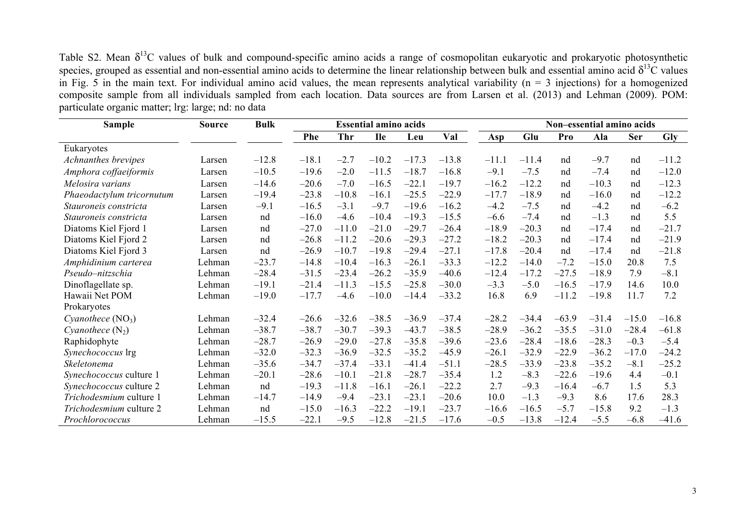Table S2. Mean  $\delta^{13}$ C values of bulk and compound-specific amino acids a range of cosmopolitan eukaryotic and prokaryotic photosynthetic species, grouped as essential and non-essential amino acids to determine the linear relationship between bulk and essential amino acid  $\delta^{13}$ C values in Fig.  $5$  in the main text. For individual amino acid values, the mean represents analytical variability (n = 3 injections) for a homogenized composite sample from all individuals sampled from each location. Data sources are from Larsen et al. (2013) and Lehman (2009). POM: particulate organic matter; lrg: large; nd: no data

| <b>Sample</b>             | <b>Source</b> | <b>Bulk</b> | <b>Essential amino acids</b> |         |            | Non-essential amino acids |         |         |         |         |         |            |         |
|---------------------------|---------------|-------------|------------------------------|---------|------------|---------------------------|---------|---------|---------|---------|---------|------------|---------|
|                           |               |             | Phe                          | Thr     | <b>Ile</b> | Leu                       | Val     | Asp     | Glu     | Pro     | Ala     | <b>Ser</b> | Gly     |
| Eukaryotes                |               |             |                              |         |            |                           |         |         |         |         |         |            |         |
| Achnanthes brevipes       | Larsen        | $-12.8$     | $-18.1$                      | $-2.7$  | $-10.2$    | $-17.3$                   | $-13.8$ | $-11.1$ | $-11.4$ | nd      | $-9.7$  | nd         | $-11.2$ |
| Amphora coffaeiformis     | Larsen        | $-10.5$     | $-19.6$                      | $-2.0$  | $-11.5$    | $-18.7$                   | $-16.8$ | $-9.1$  | $-7.5$  | nd      | $-7.4$  | nd         | $-12.0$ |
| Melosira varians          | Larsen        | $-14.6$     | $-20.6$                      | $-7.0$  | $-16.5$    | $-22.1$                   | $-19.7$ | $-16.2$ | $-12.2$ | nd      | $-10.3$ | nd         | $-12.3$ |
| Phaeodactylum tricornutum | Larsen        | $-19.4$     | $-23.8$                      | $-10.8$ | $-16.1$    | $-25.5$                   | $-22.9$ | $-17.7$ | $-18.9$ | nd      | $-16.0$ | nd         | $-12.2$ |
| Stauroneis constricta     | Larsen        | $-9.1$      | $-16.5$                      | $-3.1$  | $-9.7$     | $-19.6$                   | $-16.2$ | $-4.2$  | $-7.5$  | nd      | $-4.2$  | nd         | $-6.2$  |
| Stauroneis constricta     | Larsen        | nd          | $-16.0$                      | $-4.6$  | $-10.4$    | $-19.3$                   | $-15.5$ | $-6.6$  | $-7.4$  | nd      | $-1.3$  | nd         | 5.5     |
| Diatoms Kiel Fjord 1      | Larsen        | nd          | $-27.0$                      | $-11.0$ | $-21.0$    | $-29.7$                   | $-26.4$ | $-18.9$ | $-20.3$ | nd      | $-17.4$ | nd         | $-21.7$ |
| Diatoms Kiel Fjord 2      | Larsen        | nd          | $-26.8$                      | $-11.2$ | $-20.6$    | $-29.3$                   | $-27.2$ | $-18.2$ | $-20.3$ | nd      | $-17.4$ | nd         | $-21.9$ |
| Diatoms Kiel Fjord 3      | Larsen        | nd          | $-26.9$                      | $-10.7$ | $-19.8$    | $-29.4$                   | $-27.1$ | $-17.8$ | $-20.4$ | nd      | $-17.4$ | nd         | $-21.8$ |
| Amphidinium carterea      | Lehman        | $-23.7$     | $-14.8$                      | $-10.4$ | $-16.3$    | $-26.1$                   | $-33.3$ | $-12.2$ | $-14.0$ | $-7.2$  | $-15.0$ | 20.8       | 7.5     |
| Pseudo-nitzschia          | Lehman        | $-28.4$     | $-31.5$                      | $-23.4$ | $-26.2$    | $-35.9$                   | $-40.6$ | $-12.4$ | $-17.2$ | $-27.5$ | $-18.9$ | 7.9        | $-8.1$  |
| Dinoflagellate sp.        | Lehman        | $-19.1$     | $-21.4$                      | $-11.3$ | $-15.5$    | $-25.8$                   | $-30.0$ | $-3.3$  | $-5.0$  | $-16.5$ | $-17.9$ | 14.6       | 10.0    |
| Hawaii Net POM            | Lehman        | $-19.0$     | $-17.7$                      | $-4.6$  | $-10.0$    | $-14.4$                   | $-33.2$ | 16.8    | 6.9     | $-11.2$ | $-19.8$ | 11.7       | 7.2     |
| Prokaryotes               |               |             |                              |         |            |                           |         |         |         |         |         |            |         |
| Cyanothece $(NO3)$        | Lehman        | $-32.4$     | $-26.6$                      | $-32.6$ | $-38.5$    | $-36.9$                   | $-37.4$ | $-28.2$ | $-34.4$ | $-63.9$ | $-31.4$ | $-15.0$    | $-16.8$ |
| Cyanothece $(N_2)$        | Lehman        | $-38.7$     | $-38.7$                      | $-30.7$ | $-39.3$    | $-43.7$                   | $-38.5$ | $-28.9$ | $-36.2$ | $-35.5$ | $-31.0$ | $-28.4$    | $-61.8$ |
| Raphidophyte              | Lehman        | $-28.7$     | $-26.9$                      | $-29.0$ | $-27.8$    | $-35.8$                   | $-39.6$ | $-23.6$ | $-28.4$ | $-18.6$ | $-28.3$ | $-0.3$     | $-5.4$  |
| <i>Synechococcus</i> lrg  | Lehman        | $-32.0$     | $-32.3$                      | $-36.9$ | $-32.5$    | $-35.2$                   | $-45.9$ | $-26.1$ | $-32.9$ | $-22.9$ | $-36.2$ | $-17.0$    | $-24.2$ |
| Skeletonema               | Lehman        | $-35.6$     | $-34.7$                      | $-37.4$ | $-33.1$    | $-41.4$                   | $-51.1$ | $-28.5$ | $-33.9$ | $-23.8$ | $-35.2$ | $-8.1$     | $-25.2$ |
| Synechococcus culture 1   | Lehman        | $-20.1$     | $-28.6$                      | $-10.1$ | $-21.8$    | $-28.7$                   | $-35.4$ | 1.2     | $-8.3$  | $-22.6$ | $-19.6$ | 4.4        | $-0.1$  |
| Synechococcus culture 2   | Lehman        | nd          | $-19.3$                      | $-11.8$ | $-16.1$    | $-26.1$                   | $-22.2$ | 2.7     | $-9.3$  | $-16.4$ | $-6.7$  | 1.5        | 5.3     |
| Trichodesmium culture 1   | Lehman        | $-14.7$     | $-14.9$                      | $-9.4$  | $-23.1$    | $-23.1$                   | $-20.6$ | 10.0    | $-1.3$  | $-9.3$  | 8.6     | 17.6       | 28.3    |
| Trichodesmium culture 2   | Lehman        | nd          | $-15.0$                      | $-16.3$ | $-22.2$    | $-19.1$                   | $-23.7$ | $-16.6$ | $-16.5$ | $-5.7$  | $-15.8$ | 9.2        | $-1.3$  |
| Prochlorococcus           | Lehman        | $-15.5$     | $-22.1$                      | $-9.5$  | $-12.8$    | $-21.5$                   | $-17.6$ | $-0.5$  | $-13.8$ | $-12.4$ | $-5.5$  | $-6.8$     | $-41.6$ |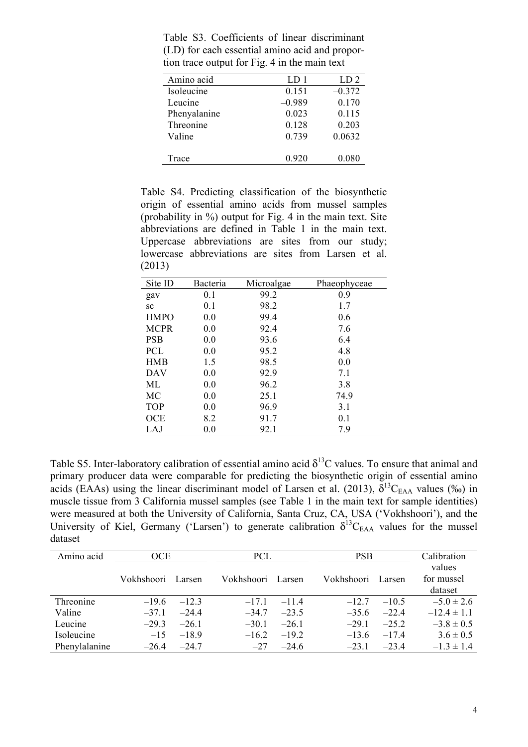| Amino acid   | LD <sub>1</sub> | LD <sub>2</sub> |
|--------------|-----------------|-----------------|
| Isoleucine   | 0.151           | $-0.372$        |
| Leucine      | $-0.989$        | 0.170           |
| Phenyalanine | 0.023           | 0.115           |
| Threonine    | 0.128           | 0.203           |
| Valine       | 0.739           | 0.0632          |
|              |                 |                 |
| Trace        | 0.920           | 0.080           |
|              |                 |                 |

Table S3. Coefficients of linear discriminant (LD) for each essential amino acid and proportion trace output for Fig. 4 in the main text

Table S4. Predicting classification of the biosynthetic origin of essential amino acids from mussel samples (probability in %) output for Fig. 4 in the main text. Site abbreviations are defined in Table 1 in the main text. Uppercase abbreviations are sites from our study; lowercase abbreviations are sites from Larsen et al. (2013)

| Site ID     | Bacteria | Microalgae | Phaeophyceae |
|-------------|----------|------------|--------------|
| gav         | 0.1      | 99.2       | 0.9          |
| sc          | 0.1      | 98.2       | 1.7          |
| <b>HMPO</b> | 0.0      | 99.4       | 0.6          |
| <b>MCPR</b> | 0.0      | 92.4       | 7.6          |
| <b>PSB</b>  | 0.0      | 93.6       | 6.4          |
| PCL         | 0.0      | 95.2       | 4.8          |
| <b>HMB</b>  | 1.5      | 98.5       | 0.0          |
| <b>DAV</b>  | 0.0      | 92.9       | 7.1          |
| МL          | 0.0      | 96.2       | 3.8          |
| МC          | 0.0      | 25.1       | 74.9         |
| <b>TOP</b>  | 0.0      | 96.9       | 3.1          |
| OCE         | 8.2      | 91.7       | 0.1          |
| LAJ         | 0.0      | 92.1       | 7.9          |

Table S5. Inter-laboratory calibration of essential amino acid  $\delta^{13}$ C values. To ensure that animal and primary producer data were comparable for predicting the biosynthetic origin of essential amino acids (EAAs) using the linear discriminant model of Larsen et al. (2013),  $\delta^{13}C_{EAA}$  values (‰) in muscle tissue from 3 California mussel samples (see Table 1 in the main text for sample identities) were measured at both the University of California, Santa Cruz, CA, USA ('Vokhshoori'), and the University of Kiel, Germany ('Larsen') to generate calibration  $\delta^{13}C_{EAA}$  values for the mussel dataset

| Amino acid    | <b>OCE</b>        |         | PCL               |         | <b>PSB</b>        |         | Calibration     |
|---------------|-------------------|---------|-------------------|---------|-------------------|---------|-----------------|
|               |                   |         |                   |         |                   |         | values          |
|               | Vokhshoori Larsen |         | Vokhshoori Larsen |         | Vokhshoori Larsen |         | for mussel      |
|               |                   |         |                   |         |                   |         | dataset         |
| Threonine     | $-196$            | $-123$  | $-171$            | $-114$  | $-12.7$           | $-10.5$ | $-5.0 \pm 2.6$  |
| Valine        | $-37.1$           | $-244$  | $-34.7$           | $-23.5$ | $-35.6$           | $-224$  | $-12.4 \pm 1.1$ |
| Leucine       | $-29.3$           | $-26.1$ | $-30.1$           | $-26.1$ | $-29.1$           | $-25.2$ | $-3.8 \pm 0.5$  |
| Isoleucine    | $-15$             | $-18.9$ | $-16.2$           | $-192$  | $-13.6$           | $-174$  | $3.6 \pm 0.5$   |
| Phenylalanine | $-26.4$           | $-247$  | $-27$             | $-24.6$ | $-23.1$           | $-234$  | $-1.3 \pm 1.4$  |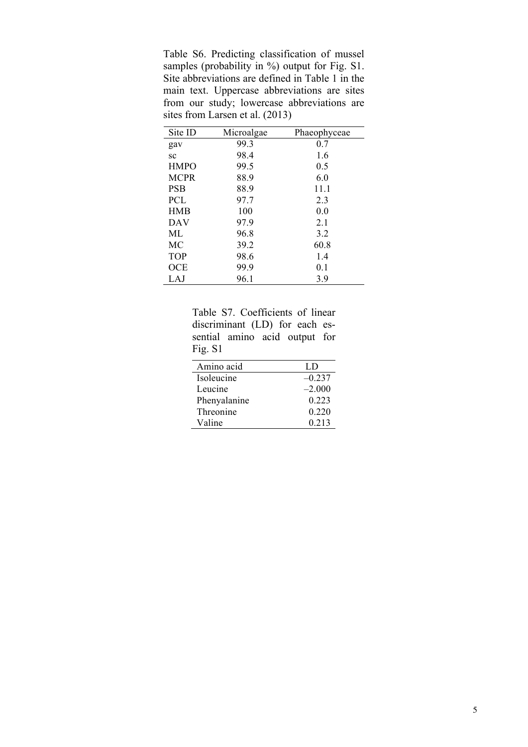Table S6. Predicting classification of mussel samples (probability in %) output for Fig. S1. Site abbreviations are defined in Table 1 in the main text. Uppercase abbreviations are sites from our study; lowercase abbreviations are sites from Larsen et al. (2013)

| Site ID     | Microalgae | Phaeophyceae |
|-------------|------------|--------------|
| gav         | 99.3       | 0.7          |
| SC          | 98.4       | 1.6          |
| <b>HMPO</b> | 99.5       | 0.5          |
| <b>MCPR</b> | 88.9       | 6.0          |
| <b>PSB</b>  | 88.9       | 11.1         |
| <b>PCL</b>  | 97.7       | 2.3          |
| <b>HMB</b>  | 100        | 0.0          |
| <b>DAV</b>  | 97.9       | 2.1          |
| ML          | 96.8       | 3.2          |
| МC          | 39.2       | 60.8         |
| <b>TOP</b>  | 98.6       | 1.4          |
| OCE         | 99.9       | 0.1          |
| LAJ         | 96.1       | 3.9          |

Table S7. Coefficients of linear discriminant (LD) for each essential amino acid output for Fig. S1

| LD       |
|----------|
| $-0.237$ |
| $-2.000$ |
| 0 2 2 3  |
| 0.220    |
| 0.213    |
|          |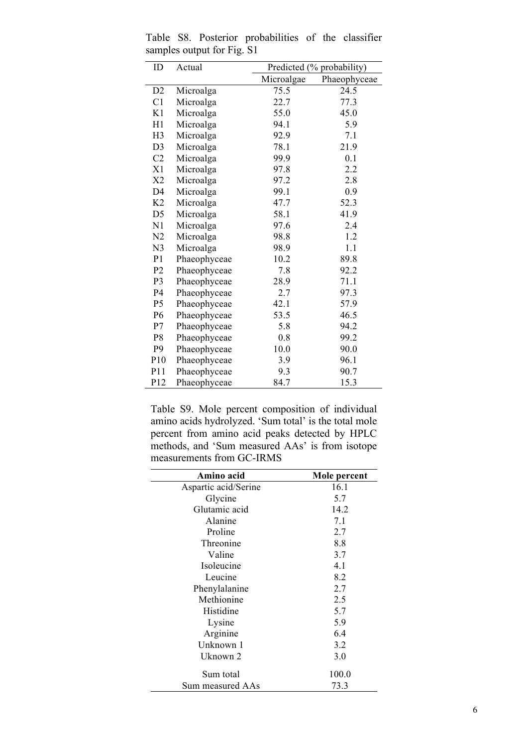| ID             | Actual       | Predicted (% probability) |              |  |
|----------------|--------------|---------------------------|--------------|--|
|                |              | Microalgae                | Phaeophyceae |  |
| D2             | Microalga    | 75.5                      | 24.5         |  |
| C1             | Microalga    | 22.7                      | 77.3         |  |
| K1             | Microalga    | 55.0                      | 45.0         |  |
| H1             | Microalga    | 94.1                      | 5.9          |  |
| H <sub>3</sub> | Microalga    | 92.9                      | 7.1          |  |
| D <sub>3</sub> | Microalga    | 78.1                      | 21.9         |  |
| C <sub>2</sub> | Microalga    | 99.9                      | 0.1          |  |
| X1             | Microalga    | 97.8                      | 2.2          |  |
| X2             | Microalga    | 97.2                      | 2.8          |  |
| D <sub>4</sub> | Microalga    | 99.1                      | 0.9          |  |
| K2             | Microalga    | 47.7                      | 52.3         |  |
| D <sub>5</sub> | Microalga    | 58.1                      | 41.9         |  |
| N1             | Microalga    | 97.6                      | 2.4          |  |
| N2             | Microalga    | 98.8                      | 1.2          |  |
| N <sub>3</sub> | Microalga    | 98.9                      | 1.1          |  |
| P <sub>1</sub> | Phaeophyceae | 10.2                      | 89.8         |  |
| P <sub>2</sub> | Phaeophyceae | 7.8                       | 92.2         |  |
| P3             | Phaeophyceae | 28.9                      | 71.1         |  |
| P4             | Phaeophyceae | 2.7                       | 97.3         |  |
| P <sub>5</sub> | Phaeophyceae | 42.1                      | 57.9         |  |
| P <sub>6</sub> | Phaeophyceae | 53.5                      | 46.5         |  |
| P7             | Phaeophyceae | 5.8                       | 94.2         |  |
| P <sub>8</sub> | Phaeophyceae | 0.8                       | 99.2         |  |
| P <sub>9</sub> | Phaeophyceae | 10.0                      | 90.0         |  |
| P10            | Phaeophyceae | 3.9                       | 96.1         |  |
| P11            | Phaeophyceae | 9.3                       | 90.7         |  |
| P12            | Phaeophyceae | 84.7                      | 15.3         |  |

Table S8. Posterior probabilities of the classifier samples output for Fig. S1

Table S9. Mole percent composition of individual amino acids hydrolyzed. 'Sum total' is the total mole percent from amino acid peaks detected by HPLC methods, and 'Sum measured AAs' is from isotope measurements from GC-IRMS

| Amino acid           | Mole percent |
|----------------------|--------------|
| Aspartic acid/Serine | 16.1         |
| Glycine              | 5.7          |
| Glutamic acid        | 14.2         |
| Alanine              | 7.1          |
| Proline              | 2.7          |
| Threonine            | 8.8          |
| Valine               | 3.7          |
| Isoleucine           | 4.1          |
| Leucine              | 8.2          |
| Phenylalanine        | 2.7          |
| Methionine           | 2.5          |
| Histidine            | 5.7          |
| Lysine               | 5.9          |
| Arginine             | 6.4          |
| Unknown 1            | 3.2          |
| Uknown 2             | 3.0          |
| Sum total            | 100.0        |
| Sum measured AAs     | 73.3         |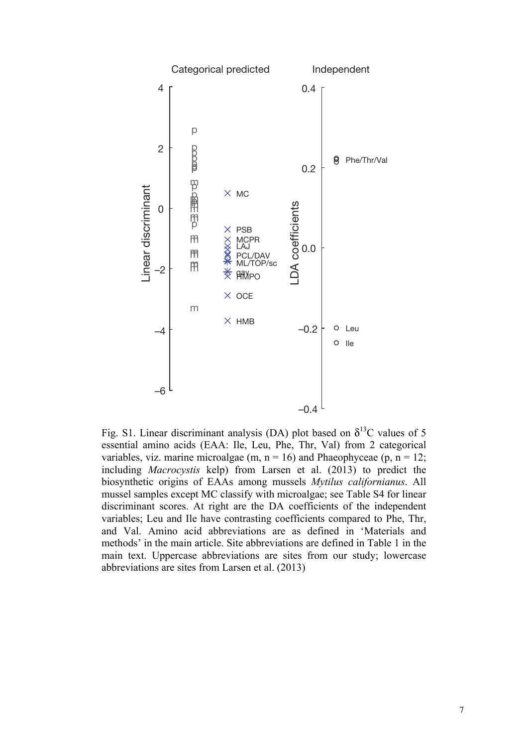

Fig. S1. Linear discriminant analysis (DA) plot based on  $\delta^{13}$ C values of 5 essential amino acids (EAA: Ile, Leu, Phe, Thr, Val) from 2 categorical variables, viz. marine microalgae (m,  $n = 16$ ) and Phaeophyceae (p,  $n = 12$ ; including *Macrocystis* kelp) from Larsen et al. (2013) to predict the biosynthetic origins of EAAs among mussels *Mytilus californianus*. All mussel samples except MC classify with microalgae; see Table S4 for linear discriminant scores. At right are the DA coefficients of the independent variables; Leu and Ile have contrasting coefficients compared to Phe, Thr, and Val. Amino acid abbreviations are as defined in 'Materials and methods' in the main article. Site abbreviations are defined in Table 1 in the main text. Uppercase abbreviations are sites from our study; lowercase abbreviations are sites from Larsen et al. (2013)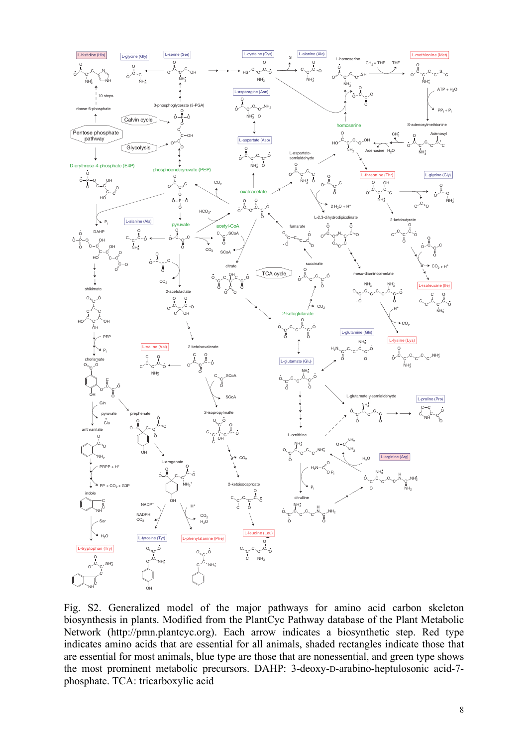

Fig. S2. Generalized model of the major pathways for amino acid carbon skeleton biosynthesis in plants. Modified from the PlantCyc Pathway database of the Plant Metabolic Network (http://pmn.plantcyc.org). Each arrow indicates a biosynthetic step. Red type indicates amino acids that are essential for all animals, shaded rectangles indicate those that are essential for most animals, blue type are those that are nonessential, and green type shows the most prominent metabolic precursors. DAHP: 3-deoxy-D-arabino-heptulosonic acid-7 phosphate. TCA: tricarboxylic acid